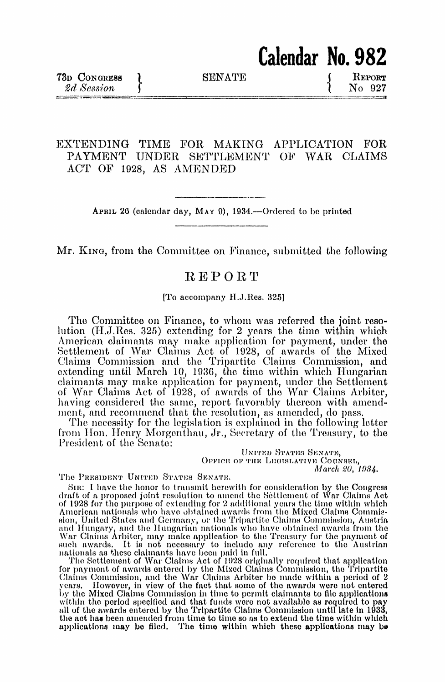**SENATE** 

Calendar No. 982

REPORT No 927

## EXTENDING TIME FOR MAKING APPLICATION FOR PAYMENT UNDER SETTLEMENT OF WAR CLAIMS ACT OF 1928, AS AMENDED

APRIL 26 (calendar day, MAY 9), 1934.—Ordered to be printed

Mr. King, from the Committee on Finance, submitted the following

## **REPORT**

[To accompany H.J.Res. 325]

The Committee on Finance, to whom was referred the joint resolution (H.J.Res. 325) extending for 2 years the time within which American claimants may make application for payment, under the<br>Settlement of War Claims Act of 1928, of awards of the Mixed<br>Claims Commission and the Tripartite Claims Commission, and extending until March 10, 1936, the time within which Hungarian<br>claimants may make application for payment, under the Settlement<br>of War Claims Act of 1928, of awards of the War Claims Arbiter, having considered the same, report favorably thereon with amendment, and recommend that the resolution, as amended, do pass.

The necessity for the legislation is explained in the following letter from Hon. Henry Morgenthau, Jr., Secretary of the Treasury, to the President of the Senate:

> UNITED STATES SENATE, OFFICE OF THE LEGISLATIVE COUNSEL, March 20, 1934.

The PRESIDENT UNITED STATES SENATE.

SIR: I have the honor to transmit herewith for consideration by the Congress<br>draft of a proposed joint resolution to amend the Settlement of War Claims Act<br>of 1928 for the purpose of extending for 2 additional years the ti American nationals who have obtained awards from the Mixed Claims Commission, United States and Germany, or the Tripartite Claims Commission, Austria and Hungary, and the Hungarian nationals who have obtained awards from the War Claims Arbiter, may make application to the Treasury for the payment of such awards. It is not necessary to include any reference to the Austri

such awards. It is not necessary to include any reference to the Austrian<br>nationals as these claimants have been paid in full.<br>The Settlement of War Claims Act of 1928 originally required that application<br>for payment of aw applications may be filed. The time within which these applications may be